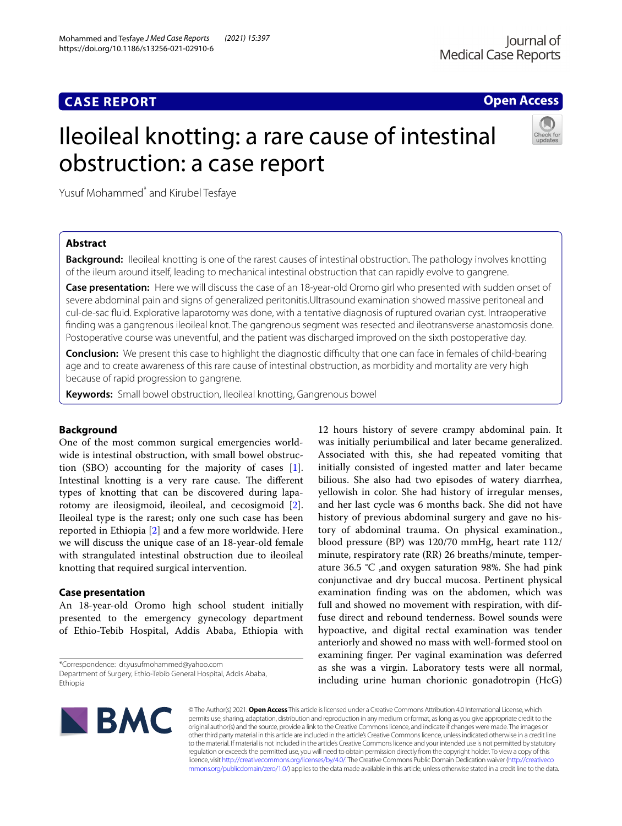# **CASE REPORT**

## **Open Access**

# Ileoileal knotting: a rare cause of intestinal obstruction: a case report



Yusuf Mohammed<sup>\*</sup> and Kirubel Tesfaye

## **Abstract**

**Background:** Ileoileal knotting is one of the rarest causes of intestinal obstruction. The pathology involves knotting of the ileum around itself, leading to mechanical intestinal obstruction that can rapidly evolve to gangrene.

**Case presentation:** Here we will discuss the case of an 18-year-old Oromo girl who presented with sudden onset of severe abdominal pain and signs of generalized peritonitis.Ultrasound examination showed massive peritoneal and cul-de-sac fuid. Explorative laparotomy was done, with a tentative diagnosis of ruptured ovarian cyst. Intraoperative fnding was a gangrenous ileoileal knot. The gangrenous segment was resected and ileotransverse anastomosis done. Postoperative course was uneventful, and the patient was discharged improved on the sixth postoperative day.

**Conclusion:** We present this case to highlight the diagnostic difficulty that one can face in females of child-bearing age and to create awareness of this rare cause of intestinal obstruction, as morbidity and mortality are very high because of rapid progression to gangrene.

**Keywords:** Small bowel obstruction, Ileoileal knotting, Gangrenous bowel

## **Background**

One of the most common surgical emergencies worldwide is intestinal obstruction, with small bowel obstruction (SBO) accounting for the majority of cases [\[1](#page-2-0)]. Intestinal knotting is a very rare cause. The different types of knotting that can be discovered during laparotomy are ileosigmoid, ileoileal, and cecosigmoid [\[2](#page-2-1)]. Ileoileal type is the rarest; only one such case has been reported in Ethiopia [[2\]](#page-2-1) and a few more worldwide. Here we will discuss the unique case of an 18-year-old female with strangulated intestinal obstruction due to ileoileal knotting that required surgical intervention.

## **Case presentation**

An 18-year-old Oromo high school student initially presented to the emergency gynecology department of Ethio-Tebib Hospital, Addis Ababa, Ethiopia with

\*Correspondence: dr.yusufmohammed@yahoo.com Department of Surgery, Ethio-Tebib General Hospital, Addis Ababa, Ethiopia

12 hours history of severe crampy abdominal pain. It was initially periumbilical and later became generalized. Associated with this, she had repeated vomiting that initially consisted of ingested matter and later became bilious. She also had two episodes of watery diarrhea, yellowish in color. She had history of irregular menses, and her last cycle was 6 months back. She did not have history of previous abdominal surgery and gave no history of abdominal trauma. On physical examination., blood pressure (BP) was 120/70 mmHg, heart rate 112/ minute, respiratory rate (RR) 26 breaths/minute, temperature 36.5 °C ,and oxygen saturation 98%. She had pink conjunctivae and dry buccal mucosa. Pertinent physical examination fnding was on the abdomen, which was full and showed no movement with respiration, with diffuse direct and rebound tenderness. Bowel sounds were hypoactive, and digital rectal examination was tender anteriorly and showed no mass with well-formed stool on examining fnger. Per vaginal examination was deferred as she was a virgin. Laboratory tests were all normal, including urine human chorionic gonadotropin (HcG)



© The Author(s) 2021. **Open Access** This article is licensed under a Creative Commons Attribution 4.0 International License, which permits use, sharing, adaptation, distribution and reproduction in any medium or format, as long as you give appropriate credit to the original author(s) and the source, provide a link to the Creative Commons licence, and indicate if changes were made. The images or other third party material in this article are included in the article's Creative Commons licence, unless indicated otherwise in a credit line to the material. If material is not included in the article's Creative Commons licence and your intended use is not permitted by statutory regulation or exceeds the permitted use, you will need to obtain permission directly from the copyright holder. To view a copy of this licence, visit [http://creativecommons.org/licenses/by/4.0/.](http://creativecommons.org/licenses/by/4.0/) The Creative Commons Public Domain Dedication waiver ([http://creativeco](http://creativecommons.org/publicdomain/zero/1.0/) [mmons.org/publicdomain/zero/1.0/](http://creativecommons.org/publicdomain/zero/1.0/)) applies to the data made available in this article, unless otherwise stated in a credit line to the data.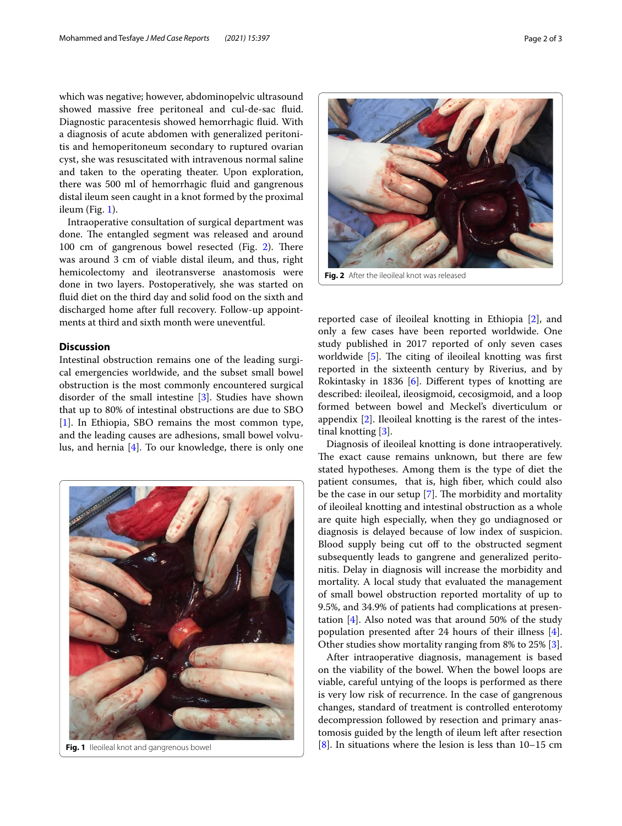which was negative; however, abdominopelvic ultrasound showed massive free peritoneal and cul-de-sac fuid. Diagnostic paracentesis showed hemorrhagic fuid. With a diagnosis of acute abdomen with generalized peritonitis and hemoperitoneum secondary to ruptured ovarian cyst, she was resuscitated with intravenous normal saline and taken to the operating theater. Upon exploration, there was 500 ml of hemorrhagic fuid and gangrenous distal ileum seen caught in a knot formed by the proximal ileum (Fig. [1](#page-1-0)).

Intraoperative consultation of surgical department was done. The entangled segment was released and around 100 cm of gangrenous bowel resected (Fig.  $2$ ). There was around 3 cm of viable distal ileum, and thus, right hemicolectomy and ileotransverse anastomosis were done in two layers. Postoperatively, she was started on fuid diet on the third day and solid food on the sixth and discharged home after full recovery. Follow-up appointments at third and sixth month were uneventful.

## **Discussion**

Intestinal obstruction remains one of the leading surgical emergencies worldwide, and the subset small bowel obstruction is the most commonly encountered surgical disorder of the small intestine [[3\]](#page-2-2). Studies have shown that up to 80% of intestinal obstructions are due to SBO [[1\]](#page-2-0). In Ethiopia, SBO remains the most common type, and the leading causes are adhesions, small bowel volvulus, and hernia [\[4](#page-2-3)]. To our knowledge, there is only one



<span id="page-1-1"></span>**Fig. 2** After the ileoileal knot was released

reported case of ileoileal knotting in Ethiopia [[2\]](#page-2-1), and only a few cases have been reported worldwide. One study published in 2017 reported of only seven cases worldwide  $[5]$ . The citing of ileoileal knotting was first reported in the sixteenth century by Riverius, and by Rokintasky in 1836 [[6](#page-2-5)]. Diferent types of knotting are described: ileoileal, ileosigmoid, cecosigmoid, and a loop formed between bowel and Meckel's diverticulum or appendix [[2\]](#page-2-1). Ileoileal knotting is the rarest of the intestinal knotting [[3\]](#page-2-2).

Diagnosis of ileoileal knotting is done intraoperatively. The exact cause remains unknown, but there are few stated hypotheses. Among them is the type of diet the patient consumes, that is, high fber, which could also be the case in our setup  $[7]$  $[7]$ . The morbidity and mortality of ileoileal knotting and intestinal obstruction as a whole are quite high especially, when they go undiagnosed or diagnosis is delayed because of low index of suspicion. Blood supply being cut off to the obstructed segment subsequently leads to gangrene and generalized peritonitis. Delay in diagnosis will increase the morbidity and mortality. A local study that evaluated the management of small bowel obstruction reported mortality of up to 9.5%, and 34.9% of patients had complications at presentation [\[4](#page-2-3)]. Also noted was that around 50% of the study population presented after 24 hours of their illness [\[4](#page-2-3)]. Other studies show mortality ranging from 8% to 25% [\[3](#page-2-2)].

<span id="page-1-0"></span>After intraoperative diagnosis, management is based on the viability of the bowel. When the bowel loops are viable, careful untying of the loops is performed as there is very low risk of recurrence. In the case of gangrenous changes, standard of treatment is controlled enterotomy decompression followed by resection and primary anastomosis guided by the length of ileum left after resection